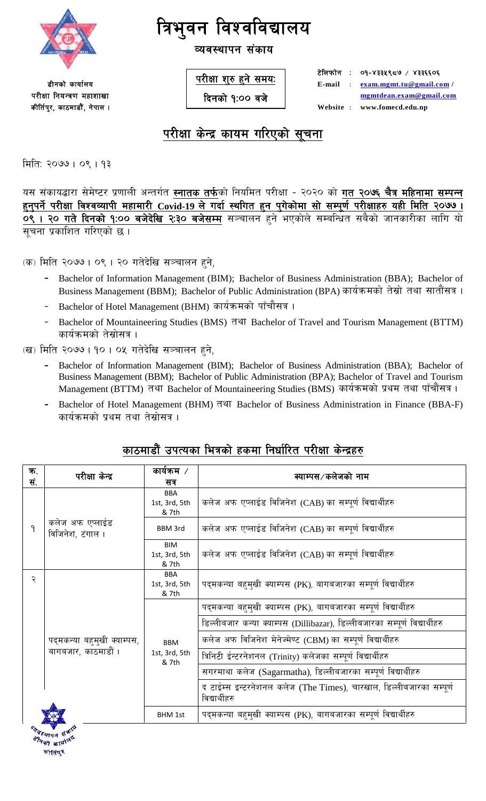

व्यवस्थापन संकाय

**डीनको** कार्यालय परीक्षा नियन्त्रण महाशाखा कीर्तिपुर, काठमाडौं, नेपाल । परीक्षा शुरु हुने समय<u>ः</u>

*दिनको १:०० वजे* 

*<u>Elation</u>* : 09-8334९८७ / ४३३६६०६ **E-mail**  $\therefore$  **exam.mgmt.tu@gmail.com** / **mgmtdean.exam@gmail.com**  $Website:$  www.fomecd.edu.np

## परीक्षा केन्द्र कायम गरिएको सचना

मिति: २०७७। ०९। १३

यस संकायद्धारा सेमेष्टर प्रणाली अन्तर्गत **स्नातक तर्फ**को नियमित परीक्षा - २०२० को **गत २०७६ चैत्र महिनामा सम्पन्न** <u>हुनुपर्ने परीक्षा विश्वव्यापी महामारी Covid-19 ले गर्दा स्थगित हुन पुगेकोमा सो सम्पूर्ण परीक्षाहरु यही मिति २०७७ ।</u> **0९ । २० गते दिनको १:०० बजेदेखि २:३० बजेसम्म** सञ्चालन हने भएकोले सम्बन्धित सबैको जानकारीका लागि यो सुचना प्रकाशित गरिएको छ ।

क) मिति २०७७। ०९। २० गतेदेखि सञ्चालन हुने,

- **–** Bachelor of Information Management (BIM); Bachelor of Business Administration (BBA); Bachelor of Business Management (BBM); Bachelor of Public Administration (BPA) कार्यक्रमको तेस्रो तथा सातौंसत्र ।
- Bachelor of Hotel Management (BHM) कार्यक्रमको पाँचौसत्र ।
- Bachelor of Mountaineering Studies (BMS) तथा Bachelor of Travel and Tourism Management (BTTM) कार्यक्रमको तेस्रोसत्र ।
- (ख) मिति २०७७। १०। ०५ गतेदेखि सञ्चालन हुने,
	- **–** Bachelor of Information Management (BIM); Bachelor of Business Administration (BBA); Bachelor of Business Management (BBM); Bachelor of Public Administration (BPA); Bachelor of Travel and Tourism Management (BTTM) तथा Bachelor of Mountaineering Studies (BMS) कार्यक्रमको प्रथम तथा पाँचौंसत्र ।
	- Bachelor of Hotel Management (BHM) तथा Bachelor of Business Administration in Finance (BBA-F) कार्यक्रमको प्रथम तथा तेस्रोसत्र ।

## काठमाडौं उपत्यका भित्रको हकमा निर्धारित परीक्षा केन्द्रहर<u>ु</u>

| ক.  | परीक्षा केन्द्र                     | कार्यक्रम /                          | क्याम्पस⁄कलेजको नाम                                                                  |  |
|-----|-------------------------------------|--------------------------------------|--------------------------------------------------------------------------------------|--|
| सं. |                                     | सत्र                                 |                                                                                      |  |
|     |                                     | <b>BBA</b><br>1st, 3rd, 5th<br>& 7th | कलेज अफ एप्लाईड विजिनेश (CAB) का सम्पूर्ण विद्यार्थीहरु                              |  |
| ٩   | कलेज अफ एप्लाईड<br>विजिनेश, टंगाल । | <b>BBM 3rd</b>                       | कलेज अफ एप्लाईड विजिनेश (CAB) का सम्पूर्ण विद्यार्थीहरु                              |  |
|     |                                     | <b>BIM</b><br>1st, 3rd, 5th<br>& 7th | कलेज अफ एप्लाईड विजिनेश (CAB) का सम्पूर्ण विद्यार्थीहरु                              |  |
| २   |                                     | <b>BBA</b><br>1st, 3rd, 5th<br>& 7th | पद्मकन्या बहम्खी क्याम्पस (PK), बागबजारका सम्पूर्ण विद्यार्थीहरु                     |  |
|     |                                     |                                      | पद्मकन्या बहुमुखी क्याम्पस (PK), बागबजारका सम्पूर्ण विद्यार्थीहरु                    |  |
|     |                                     |                                      | डिल्लीबजार कन्या क्याम्पस (Dillibazar), डिल्लीबजारका सम्पूर्ण विद्यार्थीहरु          |  |
|     | पद्मकन्या बहुमुखी क्याम्पस,         | <b>BBM</b>                           | कलेज अफ विजिनेश मेनेज्मेण्ट (CBM) का सम्पूर्ण विद्यार्थीहरु                          |  |
|     | बागबजार, काठमाडौं ।                 | 1st, 3rd, 5th<br>& 7th               | त्रिनिटी ईन्टरनेशनल (Trinity) कलेजका सम्पूर्ण विद्यार्थीहरु                          |  |
|     |                                     |                                      | सगरमाथा कलेज (Sagarmatha), डिल्लीबजारका सम्पूर्ण विद्यार्थीहरु                       |  |
|     |                                     |                                      | द टाईम्स इन्टरनेशनल कलेज (The Times), चारखाल, डिल्लीबजारका सम्पूर्ण<br>विद्यार्थीहरु |  |
|     |                                     | <b>BHM 1st</b>                       | पद्मकन्या बहमुखी क्याम्पस (PK), बागबजारका सम्पूर्ण विद्यार्थीहरु                     |  |
|     |                                     |                                      |                                                                                      |  |

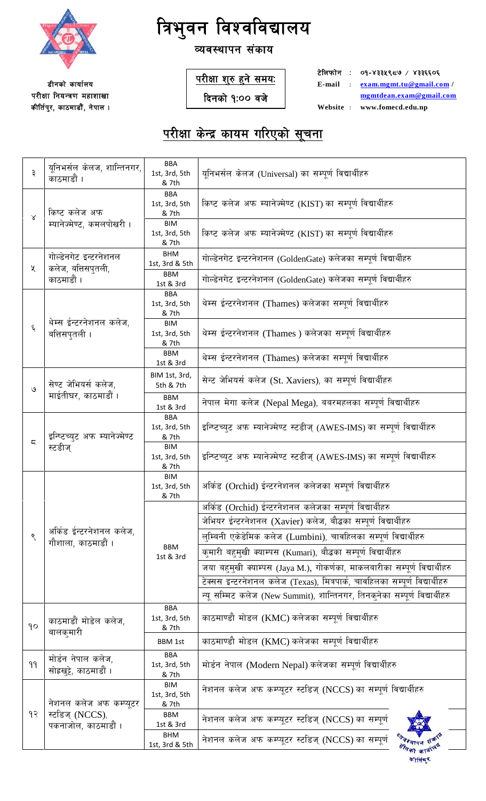

#### व्यवस्थापन संकाय

**डीनको कार्यालय** परीक्षा नियन्त्रण महाशाखा कीर्तिपुर, काठमाडौं, नेपाल । <u>परीक्षा शुरु हुने समयः</u>

**दिनको १:०० वजे** 

**टेलिफोन : ०१-४३३५९८७ / ४३३६६०६ E-mail M exam.mgmt.tu@gmail.com / mgmtdean.exam@gmail.com**  $Website : www.fomecd.edu,np$ 

| ३         | यूनिभर्सल केलज, शान्तिनगर,<br>काठमाडौं ।      | <b>BBA</b><br>1st, 3rd, 5th<br>& 7th | युनिभर्सल केलज (Universal) का सम्पूर्ण विद्यार्थीहरु                          |
|-----------|-----------------------------------------------|--------------------------------------|-------------------------------------------------------------------------------|
| $\propto$ | किष्ट कलेज अफ                                 | <b>BBA</b><br>1st, 3rd, 5th<br>& 7th | किष्ट कलेज अफ म्यानेज्मेण्ट (KIST) का सम्पूर्ण विद्यार्थीहरु                  |
|           | म्यानेज्मेण्ट, कमलपोखरी ।                     | <b>BIM</b><br>1st, 3rd, 5th<br>& 7th | किष्ट कलेज अफ म्यानेज्मेण्ट (KIST) का सम्पूर्ण विद्यार्थीहरु                  |
| ५         | गोल्डेनगेट इन्टरनेशनल<br>कलेज, बत्तिसपुतली,   | <b>BHM</b><br>1st, 3rd & 5th         | गोल्डेनगेट इन्टरनेशनल (GoldenGate) कलेजका सम्पूर्ण विद्यार्थीहरु              |
|           | काठमाडौं ।                                    | <b>BBM</b><br>1st & 3rd              | गोल्डेनगेट इन्टरनेशनल (GoldenGate) कलेजका सम्पूर्ण विद्यार्थीहरु              |
|           |                                               | <b>BBA</b><br>1st, 3rd, 5th<br>& 7th | थेम्स ईन्टरनेशनल (Thames) कलेजका सम्पूर्ण विद्यार्थीहरु                       |
| ६         | थेम्स ईन्टरनेशनल कलेज,<br>बत्तिसपुतली ।       | <b>BIM</b><br>1st, 3rd, 5th<br>& 7th | थेम्स ईन्टरनेशनल (Thames ) कलेजका सम्पूर्ण विद्यार्थीहरु                      |
|           |                                               | <b>BBM</b><br>1st & 3rd              | थेम्स ईन्टरनेशनल (Thames) कलेजका सम्पूर्ण विद्यार्थीहरु                       |
| ৩         | सेण्ट जेभियर्स कलेज,                          | BIM 1st, 3rd,<br>5th & 7th           | सेन्ट जेभियर्स कलेज (St. Xaviers), का सम्पूर्ण विद्यार्थीहरु                  |
|           | माईतीघर, काठमाडौं ।                           | <b>BBM</b><br>1st & 3rd              | नेपाल मेगा कलेज (Nepal Mega), बबरमहलका सम्पूर्ण विद्यार्थीहरु                 |
| ς         | इन्ष्टिच्युट अफ म्यानेज्मेण्ट<br>स्टडीज्      | <b>BBA</b><br>1st, 3rd, 5th<br>& 7th | इन्ष्टिच्युट अफ म्यानेज्मेण्ट स्टडीज् (AWES-IMS) का सम्पूर्ण विद्यार्थीहरु    |
|           |                                               | <b>BIM</b><br>1st, 3rd, 5th<br>& 7th | इन्स्टिच्युट अफ म्यानेज्मेण्ट स्टडीज् (AWES-IMS) का सम्पूर्ण विद्यार्थीहरु    |
|           |                                               | BIM<br>1st, 3rd, 5th<br>& 7th        | अर्किड (Orchid) ईन्टरनेशनल कलेजका सम्पूर्ण विद्यार्थीहरु                      |
|           |                                               |                                      | अर्किड (Orchid) ईन्टरनेशनल कलेजका सम्पूर्ण विद्यार्थीहरु                      |
|           |                                               |                                      | जेभियर ईन्टरनेशनल (Xavier) कलेज, बौद्धका सम्पूर्ण विद्यार्थीहरु               |
| ९         | अर्किड ईन्टरनेशनल कलेज,<br>गौशाला, काठमाडौं । |                                      | लुम्बिनी एकेडेमिक कलेज (Lumbini), चावहिलका सम्पूर्ण विद्यार्थीहरु             |
|           |                                               | <b>BBM</b><br>1st & 3rd              | कुमारी बहुमुखी क्याम्पस (Kumari), बौद्धका सम्पूर्ण विद्यार्थीहरु              |
|           |                                               |                                      | जया बहमुखी क्याम्पस (Jaya M.), गोकर्णका, माकलबारीका सम्पूर्ण विद्यार्थीहरु    |
|           |                                               |                                      | टेक्सस इन्टरनेशनल कलेज (Texas), मित्रपार्क, चावहिलका सम्पूर्ण विद्यार्थीहरु   |
|           |                                               |                                      | न्यु सम्मिट कलेज (New Summit), शान्तिनगर, तिनकुनेका सम्पूर्ण विद्यार्थीहरु    |
| 90        | काठमाडौं मोडेल कलेज,                          | <b>BBA</b><br>1st, 3rd, 5th<br>& 7th | काठमाण्डौ मोडल (KMC) कलेजका सम्पूर्ण विद्यार्थीहरु                            |
|           | बालकुमारी                                     | <b>BBM 1st</b>                       | काठमाण्डौ मोडल (KMC) कलेजका सम्पूर्ण विद्यार्थीहरु                            |
| 99        | मोर्डन नेपाल कलेज,<br>सोह्रखुट्टे, काठमाडौं । | <b>BBA</b><br>1st, 3rd, 5th<br>& 7th | मोर्डन नेपाल (Modern Nepal) कलेजका सम्पूर्ण विद्यार्थीहरु                     |
|           | नेशनल कलेज अफ कम्प्युटर                       | <b>BIM</b><br>1st, 3rd, 5th<br>& 7th | नेशनल कलेज अफ कम्प्यूटर स्टडिज् (NCCS) का सम्पूर्ण विद्यार्थीहरु              |
| १२        | स्टडिज् (NCCS),<br>पकनाजोल, काठमाडौं ।        | BBM<br>1st & 3rd                     | नेशनल कलेज अफ कम्प्यूटर स्टडिज् (NCCS) का सम्पूर्ण                            |
|           |                                               | <b>BHM</b><br>1st, 3rd & 5th         | नेशनल कलेज अफ कम्प्यूटर स्टडिज् (NCCS) का सम्पूर्ण<br>श्र <sub>वेदशाय</sub> न |
|           |                                               |                                      | कीतिम् र                                                                      |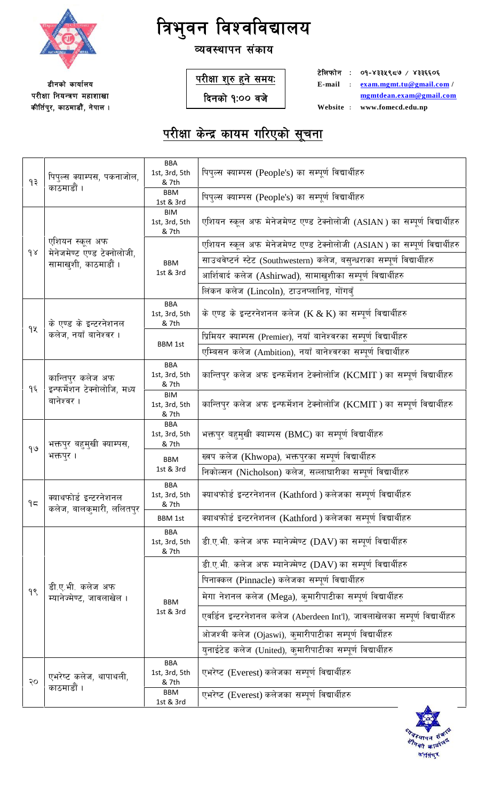

व्यवस्थापन संकाय

**डीनको कार्यालय** परीक्षा नियन्त्रण महाशाखा कीर्तिपुर, काठमाडौं, नेपाल । <u>परीक्षा शुरु हुने समयः</u>

**दिनको १:०० वजे** 

**टेलिफोन : ०१-४३३५९८७ / ४३३६६०६ E-mail M exam.mgmt.tu@gmail.com / mgmtdean.exam@gmail.com**  $Website : www.fomecd.edu,np$ 

| ۹₹       | पिपुल्स क्याम्पस, पकनाजोल,<br>काठमाडौं ।            | BBA<br>1st, 3rd, 5th<br>& 7th<br><b>BBM</b><br>1st & 3rd | पिपुल्स क्याम्पस (People's) का सम्पूर्ण विद्यार्थीहरु<br>पिपुल्स क्याम्पस (People's) का सम्पूर्ण विद्यार्थीहरु |
|----------|-----------------------------------------------------|----------------------------------------------------------|----------------------------------------------------------------------------------------------------------------|
|          |                                                     | <b>BIM</b><br>1st, 3rd, 5th<br>& 7th                     | एशियन स्कूल अफ मेनेजमेण्ट एण्ड टेक्नोलोजी (ASIAN) का सम्पूर्ण विद्यार्थीहरु                                    |
|          | एशियन स्कूल अफ                                      |                                                          | एशियन स्कूल अफ मेनेजमेण्ट एण्ड टेक्नोलोजी (ASIAN) का सम्पूर्ण विद्यार्थीहरु                                    |
| $\delta$ | मेनेजमेण्ट एण्ड टेक्नोलोजी,<br>सामाखुशी, काठमाडौं । | <b>BBM</b>                                               | साउथवेष्टर्न स्टेट (Southwestern) कलेज, बसुन्धराका सम्पूर्ण विद्यार्थीहरु                                      |
|          |                                                     | 1st & 3rd                                                | आर्शिवार्द कलेज (Ashirwad), सामाखुशीका सम्पूर्ण विद्यार्थीहरु                                                  |
|          |                                                     |                                                          | लिंकन कलेज (Lincoln), टाउनप्लानिङ्ग, गोंगबुँ                                                                   |
|          | के एण्ड के इन्टरनेशनल                               | BBA<br>1st, 3rd, 5th<br>& 7th                            | के एण्ड के इन्टरनेशनल कलेज (K & K) का सम्पूर्ण विद्यार्थीहरु                                                   |
| 9X       | कलेज, नयाँ बानेश्वर ।                               |                                                          | प्रिमियर क्याम्पस (Premier), नयाँ बानेश्वरका सम्पूर्ण विद्यार्थीहरु                                            |
|          |                                                     | <b>BBM 1st</b>                                           | एम्बिसन कलेज (Ambition), नयाँ बानेश्वरका सम्पूर्ण विद्यार्थीहरु                                                |
| १६       | कान्तिपुर कलेज अफ                                   | <b>BBA</b><br>1st, 3rd, 5th<br>& 7th                     | कान्तिपुर कलेज अफ इन्फर्मेशन टेक्नोलोजि (KCMIT ) का सम्पूर्ण विद्यार्थीहरु                                     |
|          | इन्फर्मेशन टेक्नोलोजि, मध्य<br>बानेश्वर ।           | <b>BIM</b><br>1st, 3rd, 5th<br>& 7th                     | कान्तिपुर कलेज अफ इन्फर्मेशन टेक्नोलोजि (KCMIT ) का सम्पूर्ण विद्यार्थीहरु                                     |
| 99       | भक्तपुर बहुमुखी क्याम्पस,<br>भक्तपुर ।              | <b>BBA</b><br>1st, 3rd, 5th<br>& 7th                     | भक्तपुर बहुमुखी क्याम्पस (BMC) का सम्पूर्ण विद्यार्थीहरु                                                       |
|          |                                                     | <b>BBM</b><br>1st & 3rd                                  | ख्वप कलेज (Khwopa), भक्तपुरका सम्पूर्ण विद्यार्थीहरु                                                           |
|          |                                                     |                                                          | निकोल्सन (Nicholson) कलेज, सल्लाघारीका सम्पूर्ण विद्यार्थीहरु                                                  |
| 95       | क्याथफोर्ड इन्टरनेशनल<br>कलेज, बालकमारी, ललितपर     | <b>BBA</b><br>1st, 3rd, 5th<br>& 7th                     | क्याथफोर्ड इन्टरनेशनल (Kathford) कलेजका सम्पूर्ण विद्यार्थीहरु                                                 |
|          |                                                     | <b>BBM 1st</b>                                           | क्याथफोर्ड इन्टरनेशनल (Kathford) कलेजका सम्पूर्ण विद्यार्थीहरु                                                 |
|          |                                                     | <b>BBA</b><br>1st, 3rd, 5th<br>& 7th                     | डी.ए.भी. कलेज अफ म्यानेज्मेण्ट (DAV) का सम्पूर्ण विद्यार्थीहरु                                                 |
|          |                                                     | <b>BBM</b><br>1st & 3rd                                  | डी.ए.भी. कलेज अफ म्यानेज्मेण्ट (DAV) का सम्पूर्ण विद्यार्थीहरु                                                 |
|          | डी.ए.भी. कलेज अफ                                    |                                                          | पिनाक्कल (Pinnacle) कलेजका सम्पूर्ण विद्यार्थीहरु                                                              |
| 98       | म्यानेज्मेण्ट, जावलाखेल ।                           |                                                          | मेगा नेशनल कलेज (Mega), कुमारीपाटीका सम्पूर्ण विद्यार्थीहरु                                                    |
|          |                                                     |                                                          | एवर्डिन इन्टरनेशनल कलेज (Aberdeen Int'l), जावलाखेलका सम्पूर्ण विद्यार्थीहरु                                    |
|          |                                                     |                                                          | ओजश्वी कलेज (Ojaswi), कुमारीपाटीका सम्पूर्ण विद्यार्थीहरु                                                      |
|          |                                                     |                                                          | युनाईटेड कलेज (United), कुमारीपाटीका सम्पूर्ण विद्यार्थीहरु                                                    |
| २०       | एभरेष्ट कलेज, थापाथली,<br>काठमाडौं ।                | <b>BBA</b><br>1st, 3rd, 5th<br>& 7th                     | एभरेष्ट (Everest) कलेजका सम्पूर्ण विद्यार्थीहरु                                                                |
|          |                                                     | <b>BBM</b><br>1st & 3rd                                  | एभरेष्ट (Everest) कलेजका सम्पूर्ण विद्यार्थीहरु                                                                |

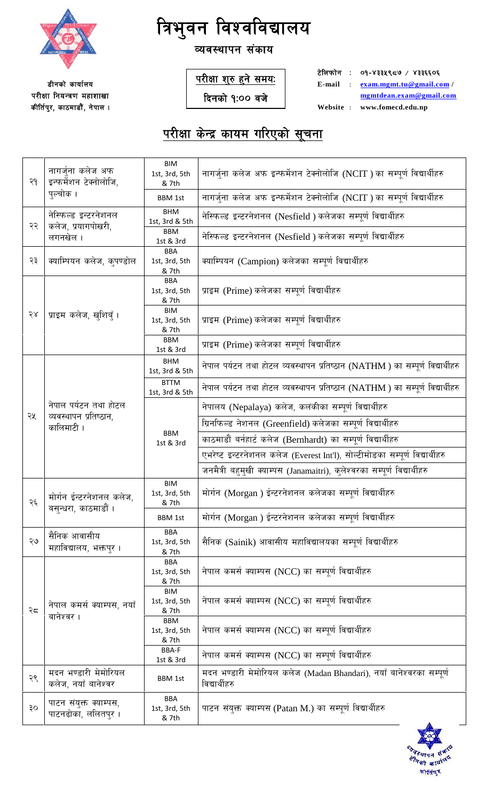

**डीनको कार्यालय** परीक्षा नियन्त्रण महाशाखा कीर्तिपुर, काठमाडौं, नेपाल ।

# **त्रिभुवन विश्वविद्यालय**

### व्यवस्थापन संकाय

<u>परीक्षा शुरु हुने समयः</u>

**दिनको १:०० वजे** 

**टेलिफोन : ०१-४३३५९८७ / ४३३६६०६ E-mail M exam.mgmt.tu@gmail.com / mgmtdean.exam@gmail.com**  $Website : www.fomecd.edu,np$ 

| २१ | नागर्जना कलेज अफ<br>इन्फर्मेशन टेक्नोलोजि,      | BIM<br>1st, 3rd, 5th<br>& 7th        | नागर्जुना कलेज अफ इन्फर्मेशन टेक्नोलोजि (NCIT ) का सम्पूर्ण विद्यार्थीहरु             |
|----|-------------------------------------------------|--------------------------------------|---------------------------------------------------------------------------------------|
|    | पुल्चोक ।                                       | <b>BBM 1st</b>                       | नागर्जुना कलेज अफ इन्फर्मेशन टेक्नोलोजि (NCIT ) का सम्पूर्ण विद्यार्थीहरु             |
| २२ | नेस्फिल्ड इन्टरनेशनल<br>कलेज, प्रयागपोखरी,      | <b>BHM</b><br>1st, 3rd & 5th         | नेस्फिल्ड इन्टरनेशनल (Nesfield) कलेजका सम्पूर्ण विद्यार्थीहरु                         |
|    | लगनखेल ।                                        | <b>BBM</b><br>1st & 3rd              | नेस्फिल्ड इन्टरनेशनल (Nesfield ) कलेजका सम्पूर्ण विद्यार्थीहरु                        |
| २३ | क्याम्पियन कलेज, कुपण्डोल                       | <b>BBA</b><br>1st, 3rd, 5th<br>& 7th | क्याम्पियन (Campion) कलेजका सम्पूर्ण विद्यार्थीहरु                                    |
|    |                                                 | <b>BBA</b><br>1st, 3rd, 5th<br>& 7th | प्राइम (Prime) कलेजका सम्पूर्ण विद्यार्थीहरु                                          |
| २४ | प्राइम कलेज, खुशिबुँ ।                          | <b>BIM</b><br>1st, 3rd, 5th<br>& 7th | प्राइम (Prime) कलेजका सम्पूर्ण विद्यार्थीहरु                                          |
|    |                                                 | <b>BBM</b><br>1st & 3rd              | प्राइम (Prime) कलेजका सम्पूर्ण विद्यार्थीहरु                                          |
|    |                                                 | <b>BHM</b><br>1st, 3rd & 5th         | नेपाल पर्यटन तथा होटल व्यवस्थापन प्रतिष्ठान (NATHM) का सम्पूर्ण विद्यार्थीहरु         |
|    |                                                 | <b>BTTM</b><br>1st, 3rd & 5th        | नेपाल पर्यटन तथा होटल व्यवस्थापन प्रतिष्ठान (NATHM ) का सम्पूर्ण विद्यार्थीहरु        |
|    | नेपाल पर्यटन तथा होटल<br>व्यवस्थापन प्रतिष्ठान, |                                      | नेपालय (Nepalaya) कलेज, कलंकीका सम्पूर्ण विद्यार्थीहरु                                |
| २५ | कालिमाटी ।                                      | <b>BBM</b><br>1st & 3rd              | ग्रिनफिल्ड नेशनल (Greenfield) कलेजका सम्पूर्ण विद्यार्थीहरु                           |
|    |                                                 |                                      | काठमाडौं बर्नहार्ट कलेज (Bernhardt) का सम्पूर्ण विद्यार्थीहरु                         |
|    |                                                 |                                      | एभरेष्ट इन्टरनेशनल कलेज (Everest Int'l), सोल्टीमोडका सम्पूर्ण विद्यार्थीहरु           |
|    |                                                 |                                      | जनमैत्री बहुमुखी क्याम्पस (Janamaitri), कुलेश्वरका सम्पूर्ण विद्यार्थीहरु             |
| २६ | मोर्गन ईन्टरनेशनल कलेज,                         | <b>BIM</b><br>1st, 3rd, 5th<br>& 7th | मोर्गन (Morgan) ईन्टरनेशनल कलेजका सम्पूर्ण विद्यार्थीहरु                              |
|    | बसुन्धरा, काठमाडौं ।                            | BBM 1st                              | मोर्गन (Morgan) ईन्टरनेशनल कलेजका सम्पूर्ण विद्यार्थीहरु                              |
| २७ | सैनिक आवासीय<br>महाविद्यालय, भक्तपुर ।          | <b>BBA</b><br>1st, 3rd, 5th<br>& 7th | सैनिक (Sainik) आवासीय महाविद्यालयका सम्पूर्ण विद्यार्थीहरु                            |
|    |                                                 | <b>BBA</b><br>1st, 3rd, 5th<br>& 7th | नेपाल कमर्स क्याम्पस (NCC) का सम्पूर्ण विद्यार्थीहरु                                  |
| २८ | नेपाल कमर्स क्याम्पस, नयाँ<br>बानेश्वर ।        | <b>BIM</b><br>1st, 3rd, 5th<br>& 7th | नेपाल कमर्स क्याम्पस (NCC) का सम्पूर्ण विद्यार्थीहरु                                  |
|    |                                                 | <b>BBM</b><br>1st, 3rd, 5th<br>& 7th | नेपाल कमर्स क्याम्पस (NCC) का सम्पूर्ण विद्यार्थीहरु                                  |
|    |                                                 | <b>BBA-F</b><br>1st & 3rd            | नेपाल कमर्स क्याम्पस (NCC) का सम्पूर्ण विद्यार्थीहरु                                  |
| २९ | मदन भण्डारी मेमोरियल<br>कलेज, नयाँ बानेश्वर     | <b>BBM 1st</b>                       | मदन भण्डारी मेमोरियल कलेज (Madan Bhandari), नयाँ बानेश्वरका सम्पूर्ण<br>विद्यार्थीहरु |
| ЭO | पाटन संयुक्त क्याम्पस,<br>पाटनढोका, ललितपुर ।   | <b>BBA</b><br>1st, 3rd, 5th<br>& 7th | पाटन संयुक्त क्याम्पस (Patan M.) का सम्पूर्ण विद्यार्थीहरु                            |

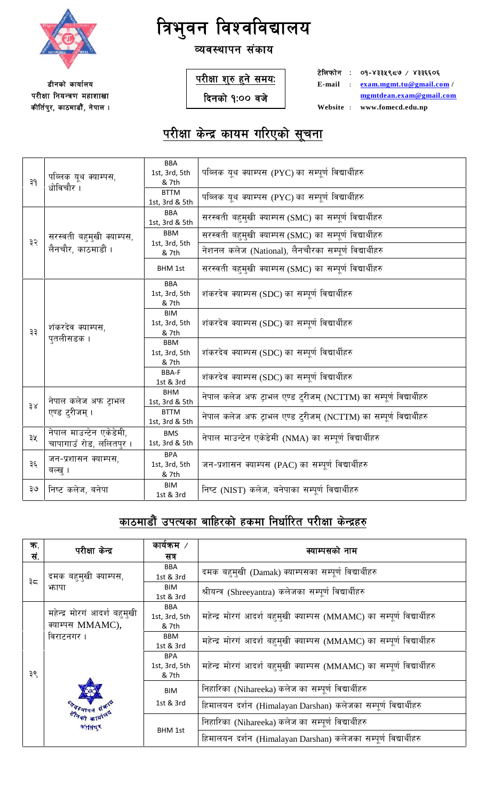

व्यवस्थापन संकाय

**डीनको कार्यालय** परीक्षा नियन्त्रण महाशाखा कीर्तिपुर, काठमाडौं, नेपाल । <u>परीक्षा शुरु हुने समयः</u>

**दिनको १:०० वजे** 

**टेलिफोन : ०१-४३३५९८७ / ४३३६६०६ E-mail M exam.mgmt.tu@gmail.com / mgmtdean.exam@gmail.com**

 $Website : www.fomecd.edu,np$ 

# <u>परीक्षा केन्द्र कायम गरिएको सूचना</u>

| ३१ | पब्लिक युथ क्याम्पस,<br>धोविचौर ।                  | <b>BBA</b><br>1st, 3rd, 5th<br>& 7th<br><b>BTTM</b> | पब्लिक यूथ क्याम्पस (PYC)का सम्पूर्ण विद्यार्थीहरु<br>पब्लिक यूथ क्याम्पस (PYC) का सम्पूर्ण विद्यार्थीहरु |
|----|----------------------------------------------------|-----------------------------------------------------|-----------------------------------------------------------------------------------------------------------|
|    |                                                    | 1st, 3rd & 5th<br><b>BBA</b>                        |                                                                                                           |
|    |                                                    | 1st, 3rd & 5th                                      | सरस्वती बहुमुखी क्याम्पस (SMC) का सम्पूर्ण विद्यार्थीहरु                                                  |
| ३२ | सरस्वती बहुमुखी क्याम्पस,                          | <b>BBM</b><br>1st, 3rd, 5th                         | सरस्वती बहुमुखी क्याम्पस (SMC) का सम्पूर्ण विद्यार्थीहरु                                                  |
|    | लैनचौर, काठमाडौं ।                                 | & 7th                                               | नेशनल कलेज (National), लैनचौरका सम्पूर्ण विद्यार्थीहरु                                                    |
|    |                                                    | <b>BHM 1st</b>                                      | सरस्वती बहुमुखी क्याम्पस (SMC) का सम्पूर्ण विद्यार्थीहरु                                                  |
|    |                                                    | <b>BBA</b>                                          |                                                                                                           |
|    |                                                    | 1st, 3rd, 5th<br>& 7th                              | शंकरदेव क्याम्पस (SDC) का सम्पूर्ण विद्यार्थीहरु                                                          |
|    | शंकरदेव क्याम्पस,<br>पुतलीसडक ।                    | <b>BIM</b>                                          |                                                                                                           |
| ३३ |                                                    | 1st, 3rd, 5th<br>& 7th                              | शंकरदेव क्याम्पस (SDC) का सम्पूर्ण विद्यार्थीहरु                                                          |
|    |                                                    | <b>BBM</b><br>1st, 3rd, 5th<br>& 7th                | शंकरदेव क्याम्पस (SDC) का सम्पूर्ण विद्यार्थीहरु                                                          |
|    |                                                    | BBA-F<br>1st & 3rd                                  | शंकरदेव क्याम्पस (SDC) का सम्पूर्ण विद्यार्थीहरु                                                          |
| 38 | नेपाल कलेज अफ टाभल<br>एण्ड ट्रीजम् ।               | <b>BHM</b><br>1st, 3rd & 5th                        | नेपाल कलेज अफ ट्राभल एण्ड टुरीजम् (NCTTM) का सम्पूर्ण विद्यार्थीहरु                                       |
|    |                                                    | <b>BTTM</b><br>1st, 3rd & 5th                       | नेपाल कलेज अफ ट्राभल एण्ड टुरीजम् (NCTTM) का सम्पूर्ण विद्यार्थीहरु                                       |
| ३५ | नेपाल माउन्टेन एकेडेमी,<br>चापागाउँ रोड, ललितपुर । | <b>BMS</b><br>1st, 3rd & 5th                        | नेपाल माउन्टेन एकेडेमी (NMA) का सम्पूर्ण विद्यार्थीहरु                                                    |
| ३६ | जन-प्रशासन क्याम्पस,<br>बल्ख् ।                    | <b>BPA</b><br>1st, 3rd, 5th                         | जन-प्रशासन क्याम्पस (PAC) का सम्पूर्ण विद्यार्थीहरु                                                       |
|    |                                                    | & 7th<br><b>BIM</b>                                 |                                                                                                           |
| २७ | निष्ट कलेज, बनेपा                                  | 1st & 3rd                                           | निष्ट (NIST) कलेज, बनेपाका सम्पूर्ण विद्यार्थीहरु                                                         |

## **काठमाडौं उपत्यका बाहिरको हकमा निर्धारित परीक्षा केन्द्रहरु**

| क.<br>सं. | परीक्षा केन्द्र                                  | कार्यक्रम $\overline{ }$<br>सत्र                   | क्याम्पसको नाम                                                                                                  |
|-----------|--------------------------------------------------|----------------------------------------------------|-----------------------------------------------------------------------------------------------------------------|
| ३८        | दमक बहुमुखी क्याम्पस,<br>फापा                    | <b>BBA</b><br>1st & 3rd<br><b>BIM</b><br>1st & 3rd | दमक बहुमुखी (Damak) क्याम्पसका सम्पूर्ण विद्यार्थीहरु<br>श्रीयन्त्र (Shreeyantra) कलेजका सम्पूर्ण विद्यार्थीहरु |
|           | महेन्द्र मोरगं आदर्श बहुमुखी<br>क्याम्पस MMAMC), | BBA<br>1st, 3rd, 5th<br>& 7th                      | महेन्द्र मोरगं आदर्श बहुमुखी क्याम्पस (MMAMC) का सम्पूर्ण विद्यार्थीहरु                                         |
|           | विराटनगर ।                                       | <b>BBM</b><br>1st & 3rd                            | महेन्द्र मोरगं आदर्श बहमुखी क्याम्पस (MMAMC) का सम्पूर्ण विद्यार्थीहरु                                          |
| ३९        |                                                  | <b>BPA</b><br>1st, 3rd, 5th<br>& 7th               | महेन्द्र मोरगं आदर्श बहमुखी क्याम्पस (MMAMC) का सम्पूर्ण विद्यार्थीहरु                                          |
|           |                                                  | <b>BIM</b>                                         | निहारिका (Nihareeka) कलेज का सम्पूर्ण विद्यार्थीहरु                                                             |
|           |                                                  | 1st & 3rd                                          | हिमालयन दर्शन (Himalayan Darshan) कलेजका सम्पूर्ण विद्यार्थीहरु                                                 |
|           | कीतिषुर                                          |                                                    | निहारिका (Nihareeka) कलेज का सम्पूर्ण विद्यार्थीहरु                                                             |
|           |                                                  | <b>BHM 1st</b>                                     | हिमालयन दर्शन (Himalayan Darshan) कलेजका सम्पूर्ण विद्यार्थीहरु                                                 |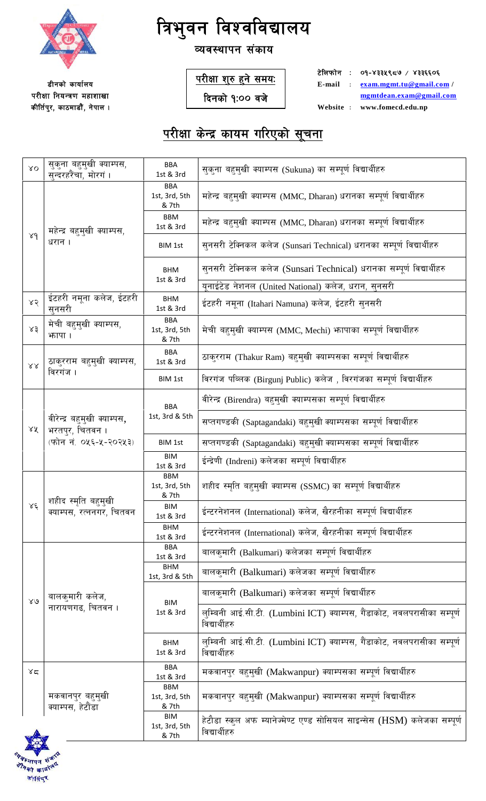

#### व्यवस्थापन संकाय

**डीनको कार्यालय** परीक्षा नियन्त्रण महाशाखा कीर्तिपुर, काठमाडौं, नेपाल । <u>परीक्षा शुरु हुने समयः</u>

**दिनको १:०० वजे** 

**टेलिफोन : ०१-४३३५९८७ / ४३३६६०६ E-mail M exam.mgmt.tu@gmail.com / mgmtdean.exam@gmail.com**  $Website : www.fomecd.edu,np$ 

| XO               | सुकुना बहुमुखी क्याम्पस,<br>सन्दरहरैंचा, मोरगं।                         | <b>BBA</b><br>1st & 3rd<br><b>BBA</b> | सुकुना बहुमुखी क्याम्पस (Sukuna) का सम्पूर्ण विद्यार्थीहरु                                |
|------------------|-------------------------------------------------------------------------|---------------------------------------|-------------------------------------------------------------------------------------------|
|                  |                                                                         | 1st, 3rd, 5th<br>& 7th                | महेन्द्र बहुमुखी क्याम्पस (MMC, Dharan) धरानका सम्पूर्ण विद्यार्थीहरु                     |
|                  | महेन्द्र बहुमुखी क्याम्पस,<br>धरान ।                                    | BBM<br>1st & 3rd                      | महेन्द्र बहुमुखी क्याम्पस (MMC, Dharan) धरानका सम्पूर्ण विद्यार्थीहरु                     |
| 84               |                                                                         | <b>BIM 1st</b>                        | सुनसरी टेक्निकल कलेज (Sunsari Technical) धरानका सम्पूर्ण विद्यार्थीहरु                    |
|                  |                                                                         | <b>BHM</b><br>1st & 3rd               | सुनसरी टेक्निकल कलेज (Sunsari Technical) धरानका सम्पूर्ण विद्यार्थीहरु                    |
|                  |                                                                         |                                       | यूनाईटेड नेशनल (United National) कलेज, धरान, सुनसरी                                       |
| 85               | ईटहरी नमूना कलेज, ईटहरी<br>सनसरी                                        | <b>BHM</b><br>1st & 3rd               | इंटहरी नमूना (Itahari Namuna) कलेज, ईटहरी सुनसरी                                          |
| 58               | मेची बहुमुखी क्याम्पस,<br>भगपा ।                                        | <b>BBA</b><br>1st, 3rd, 5th<br>& 7th  | मेची बहुमुखी क्याम्पस (MMC, Mechi) भापाका सम्पूर्ण विद्यार्थीहरु                          |
| $\lambda\lambda$ | ठाकुरराम बहुमुखी क्याम्पस,                                              | <b>BBA</b><br>1st & 3rd               | ठाकुरराम (Thakur Ram) बहुमुखी क्याम्पसका सम्पूर्ण विद्यार्थीहरु                           |
|                  | विरगंज ।                                                                | <b>BIM 1st</b>                        | विरगंज पब्लिक (Birgunj Public) कलेज, विरगंजका सम्पूर्ण विद्यार्थीहरु                      |
|                  |                                                                         | <b>BBA</b>                            | वीरेन्द्र (Birendra) बहुमुखी क्याम्पसका सम्पूर्ण विद्यार्थीहरु                            |
| ४४               | वीरेन्द्र बहुमुखी क्याम्पस,<br>भरतपुर, चितवन ।<br>(फोन नं. ०५६-५-२०२५३) | 1st, 3rd & 5th                        | सप्तगण्डकी (Saptagandaki) बहुमुखी क्याम्पसका सम्पूर्ण विद्यार्थीहरु                       |
|                  |                                                                         | <b>BIM 1st</b>                        | सप्तगण्डकी (Saptagandaki) बहुमुखी क्याम्पसका सम्पूर्ण विद्यार्थीहरु                       |
|                  |                                                                         | <b>BIM</b><br>1st & 3rd<br><b>BBM</b> | ईन्द्रेणी (Indreni) कलेजका सम्पूर्ण विद्यार्थीहरु                                         |
|                  |                                                                         | 1st, 3rd, 5th<br>& 7th                | शहीद स्मृति बहुमुखी क्याम्पस (SSMC) का सम्पूर्ण विद्यार्थीहरु                             |
| $\lambda \xi$    | शहीद स्मृति बहुमुखो<br>क्याम्पस, रत्ननगर, चितवन                         | BIM<br>1st & 3rd                      | ईन्टरनेशनल (International) कलेज, खैरहनीका सम्पूर्ण विद्यार्थीहरु                          |
|                  |                                                                         | <b>BHM</b><br>1st & 3rd               | ईन्टरनेशनल (International) कलेज, खैरहनीका सम्पूर्ण विद्यार्थीहरु                          |
|                  |                                                                         | <b>BBA</b><br>1st & 3rd               | बालकुमारी (Balkumari) कलेजका सम्पूर्ण विद्यार्थीहरु                                       |
|                  |                                                                         | <b>BHM</b><br>1st, 3rd & 5th          | बालकुमारी (Balkumari) कलेजका सम्पूर्ण विद्यार्थीहरु                                       |
| $80^{\circ}$     | बालकुमारी कलेज,                                                         | <b>BIM</b>                            | बालकुमारी (Balkumari) कलेजका सम्पूर्ण विद्यार्थीहरु                                       |
|                  | नारायणगढ, चितवन ।                                                       | 1st & 3rd                             | लुम्बिनी आई.सी.टी. (Lumbini ICT) क्याम्पस, गैंडाकोट, नवलपरासीका सम्पूर्ण<br>विद्यार्थीहरु |
|                  |                                                                         | <b>BHM</b><br>1st & 3rd               | लुम्बिनी आई.सी.टी. (Lumbini ICT) क्याम्पस, गैंडाकोट, नवलपरासीका सम्पूर्ण<br>विद्यार्थीहरु |
| ४८               |                                                                         | <b>BBA</b><br>1st & 3rd               | मकवानपुर बहुमुखी (Makwanpur) क्याम्पसका सम्पूर्ण विद्यार्थीहरु                            |
|                  | मकवानपुर बहुमुखी<br>क्याम्पस, हेटौंडा                                   | <b>BBM</b><br>1st, 3rd, 5th<br>& 7th  | मकवानपुर बहुमुखी (Makwanpur) क्याम्पसका सम्पूर्ण विद्यार्थीहरु                            |
|                  |                                                                         | <b>BIM</b><br>1st, 3rd, 5th<br>& 7th  | हेटौडा स्कूल अफ म्यानेज्मेण्ट एण्ड सोसियल साइन्सेस (HSM) कलेजका सम्पूर्ण<br>विद्यार्थीहरु |

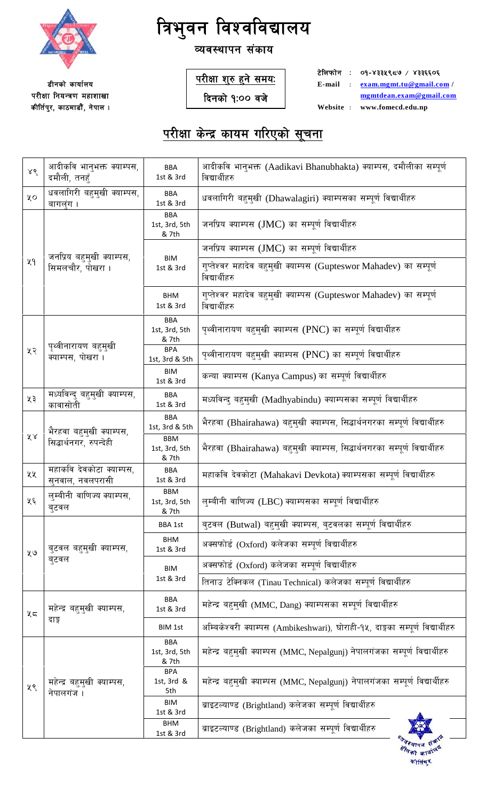

### व्यवस्थापन संकाय

**डीनको कार्यालय** परीक्षा नियन्त्रण महाशाखा कीर्तिपुर, काठमाडौं, नेपाल । <u>परीक्षा शुरु हुने समयः</u>

**दिनको १:०० वजे** 

**टेलिफोन : ०१-४३३५९८७ / ४३३६६०६ E-mail M exam.mgmt.tu@gmail.com / mgmtdean.exam@gmail.com**  $Website : www.fomecd.edu,np$ 

| 88 | आदीकवि भानुभक्त क्याम्पस,<br>दमौली, तनहँ            | <b>BBA</b><br>1st & 3rd              | आदीकवि भानुभक्त (Aadikavi Bhanubhakta) क्याम्पस, दमौलीका सम्पूर्ण<br>विद्यार्थीहरु  |
|----|-----------------------------------------------------|--------------------------------------|-------------------------------------------------------------------------------------|
| ųο | धवलागिरी बहुमुखी क्याम्पस,<br>बागलंग ।              | <b>BBA</b><br>1st & 3rd              | धवलागिरी बहुमुखी (Dhawalagiri) क्याम्पसका सम्पूर्ण विद्यार्थीहरु                    |
|    |                                                     | <b>BBA</b><br>1st, 3rd, 5th<br>& 7th | जनप्रिय क्याम्पस (JMC) का सम्पूर्ण विद्यार्थीहरु                                    |
|    |                                                     |                                      | जनप्रिय क्याम्पस (JMC) का सम्पूर्ण विद्यार्थीहरु                                    |
| ५१ | जनप्रिय बहुमुखी क्याम्पस,<br>सिमलचौर, पोखरा ।       | <b>BIM</b><br>1st & 3rd              | गुप्तेश्वर महादेव बहुमुखी क्याम्पस (Gupteswor Mahadev) का सम्पूर्ण<br>विद्यार्थीहरु |
|    |                                                     | <b>BHM</b><br>1st & 3rd              | गुप्तेश्वर महादेव बहुमुखी क्याम्पस (Gupteswor Mahadev) का सम्पूर्ण<br>विद्यार्थीहरु |
|    |                                                     | <b>BBA</b><br>1st, 3rd, 5th<br>& 7th | पृथ्वीनारायण बहुमुखी क्याम्पस (PNC) का सम्पूर्ण विद्यार्थीहरु                       |
| ५२ | पृथ्वीनारायण बहुमुखी<br>क्याम्पस, पोखरा ।           | <b>BPA</b><br>1st, 3rd & 5th         | पृथ्वीनारायण बहुमुखी क्याम्पस (PNC) का सम्पूर्ण विद्यार्थीहरु                       |
|    |                                                     | <b>BIM</b><br>1st & 3rd              | कन्या क्याम्पस (Kanya Campus) का सम्पूर्ण विद्यार्थीहरु                             |
| ५३ | मध्यविन्दु बहुमुखी क्याम्पस,<br>कावासोती            | <b>BBA</b><br>1st & 3rd              | मध्यविन्दु बहुमुखी (Madhyabindu) क्याम्पसका सम्पूर्ण विद्यार्थीहरु                  |
|    | भैरहवा बहुमुखी क्याम्पस,<br>सिद्धार्थनगर, रुपन्देही | <b>BBA</b><br>1st, 3rd & 5th         | भैरहवा (Bhairahawa) बहुमुखी क्याम्पस, सिद्धार्थनगरका सम्पूर्ण विद्यार्थीहरु         |
| ४४ |                                                     | <b>BBM</b><br>1st, 3rd, 5th<br>& 7th | भैरहवा (Bhairahawa) बहुमुखी क्याम्पस, सिद्धार्थनगरका सम्पूर्ण विद्यार्थीहरु         |
| ५५ | महाकवि देवकोटा क्याम्पस,<br>सनवाल, नवलपरासी         | <b>BBA</b><br>1st & 3rd              | महाकवि देवकोटा (Mahakavi Devkota) क्याम्पसका सम्पूर्ण विद्यार्थीहरु                 |
| ५६ | लम्बीनी वाणिज्य क्याम्पस.<br>ब्टवल                  | <b>BBM</b><br>1st, 3rd, 5th<br>& 7th | लुम्बीनी वाणिज्य (LBC) क्याम्पसका सम्पूर्ण विद्यार्थीहरु                            |
|    |                                                     | <b>BBA 1st</b>                       | बुटवल (Butwal) बहुमुखी क्याम्पस, बुटवलका सम्पूर्ण विद्यार्थीहरु                     |
| ५७ | बुटवल बहुमुखी क्याम्पस,<br>ब्टवल                    | <b>BHM</b><br>1st & 3rd              | अक्सफोर्ड (Oxford) कलेजका सम्पूर्ण विद्यार्थीहरु                                    |
|    |                                                     | <b>BIM</b>                           | अक्सफोर्ड (Oxford) कलेजका सम्पूर्ण विद्यार्थीहरु                                    |
|    |                                                     | 1st & 3rd                            | तिनाउ टेक्निकल (Tinau Technical) कलेजका सम्पूर्ण विद्यार्थीहरु                      |
| ५८ | महेन्द्र बहुमुखी क्याम्पस,                          | <b>BBA</b><br>1st & 3rd              | महेन्द्र बहुमुखी (MMC, Dang) क्याम्पसका सम्पूर्ण विद्यार्थीहरु                      |
|    | दाङ्ग                                               | <b>BIM 1st</b>                       | अम्बिकेश्वरी क्याम्पस (Ambikeshwari), घोराही-१५, दाङ्गका सम्पूर्ण विद्यार्थीहरु     |
| ५९ | महेन्द्र बहुमुखी क्याम्पस,<br>नेपालगंज ।            | <b>BBA</b><br>1st, 3rd, 5th<br>& 7th | महेन्द्र बहुमुखी क्याम्पस (MMC, Nepalgunj) नेपालगंजका सम्पूर्ण विद्यार्थीहरु        |
|    |                                                     | <b>BPA</b><br>1st, 3rd &<br>5th      | महेन्द्र बहुमुखी क्याम्पस (MMC, Nepalgunj) नेपालगंजका सम्पूर्ण विद्यार्थीहरु        |
|    |                                                     | <b>BIM</b><br>1st & 3rd              | ब्राइटल्याण्ड (Brightland) कलेजका सम्पूर्ण विद्यार्थीहरु                            |
|    |                                                     | <b>BHM</b><br>1st & 3rd              | ब्राइटल्याण्ड (Brightland) कलेजका सम्पूर्ण विद्यार्थीहरु                            |